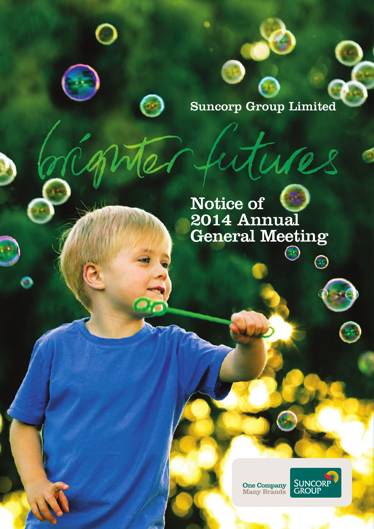

10

 $\bm{\Theta}$ 

 $\blacksquare$ 

Notice of 2014 Annual General Meeting

One Company<br>Many Brands

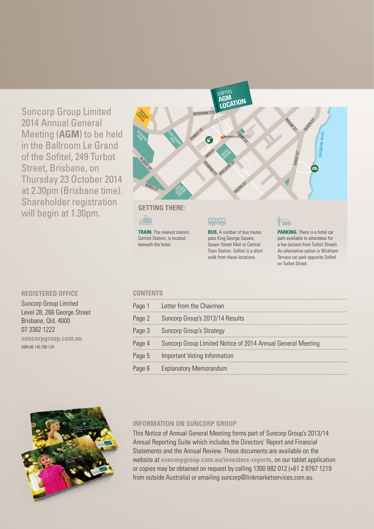Suncorp Group Limited 2014 Annual General Meeting (**AGM**) to be held in the Ballroom Le Grand of the Sofitel, 249 Turbot Street, Brisbane, on Thursday 23 October 2014 at 2.30pm (Brisbane time). Shareholder registration will begin at 1.30pm.

#### **REGISTERED OFFICE**

Suncorp Group Limited Level 28, 266 George Street Brisbane, Qld, 4000 07 3362 1222 **suncorpgroup.com.au** ABN 66 145 290 124

#### **CONTENTS**

**TRAIN.** The nearest station, Central Station, is located beneath the hotel.

| Page 1 | Letter from the Chairman                                    |
|--------|-------------------------------------------------------------|
| Page 2 | Suncorp Group's 2013/14 Results                             |
| Page 3 | Suncorp Group's Strategy                                    |
| Page 4 | Suncorp Group Limited Notice of 2014 Annual General Meeting |
| Page 5 | Important Voting Information                                |
| Page 6 | <b>Explanatory Memorandum</b>                               |
|        |                                                             |



#### **INFORMATION ON SUNCORP GROUP**

This Notice of Annual General Meeting forms part of Suncorp Group's 2013/14 Annual Reporting Suite which includes the Directors' Report and Financial Statements and the Annual Review. These documents are available on the website at **suncorpgroup.com.au/investors-reports**, on our tablet application or copies may be obtained on request by calling 1300 882 012 (+61 2 8767 1219 from outside Australia) or emailing suncorp@linkmarketservices.com.au.



**BUS.** A number of bus routes pass King George Square, Queen Street Mall or Central Train Station. Sofitel is a short walk from these locations.

#### ITA

**PARKING.** There is a hotel car park available to attendees for a fee (access from Turbot Street). An alternative option is Wickham Terrace car park opposite Sofitel on Turbot Street.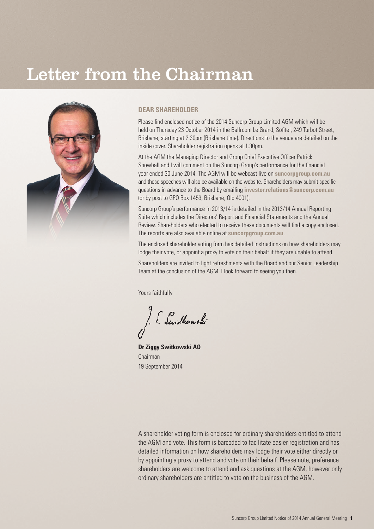## Letter from the Chairman



#### **DEAR SHAREHOLDER**

Please find enclosed notice of the 2014 Suncorp Group Limited AGM which will be held on Thursday 23 October 2014 in the Ballroom Le Grand, Sofitel, 249 Turbot Street, Brisbane, starting at 2.30pm (Brisbane time). Directions to the venue are detailed on the inside cover. Shareholder registration opens at 1.30pm.

At the AGM the Managing Director and Group Chief Executive Officer Patrick Snowball and I will comment on the Suncorp Group's performance for the financial year ended 30 June 2014. The AGM will be webcast live on **suncorpgroup.com.au** and these speeches will also be available on the website. Shareholders may submit specific questions in advance to the Board by emailing **investor.relations@suncorp.com.au** (or by post to GPO Box 1453, Brisbane, Qld 4001).

Suncorp Group's performance in 2013/14 is detailed in the 2013/14 Annual Reporting Suite which includes the Directors' Report and Financial Statements and the Annual Review. Shareholders who elected to receive these documents will find a copy enclosed. The reports are also available online at **suncorpgroup.com.au**.

The enclosed shareholder voting form has detailed instructions on how shareholders may lodge their vote, or appoint a proxy to vote on their behalf if they are unable to attend.

Shareholders are invited to light refreshments with the Board and our Senior Leadership Team at the conclusion of the AGM. I look forward to seeing you then.

Yours faithfully

[ Swittwowski

**Dr Ziggy Switkowski AO** Chairman 19 September 2014

A shareholder voting form is enclosed for ordinary shareholders entitled to attend the AGM and vote. This form is barcoded to facilitate easier registration and has detailed information on how shareholders may lodge their vote either directly or by appointing a proxy to attend and vote on their behalf. Please note, preference shareholders are welcome to attend and ask questions at the AGM, however only ordinary shareholders are entitled to vote on the business of the AGM.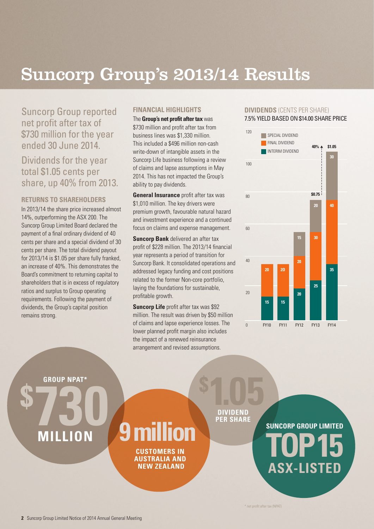## Suncorp Group's 2013/14 Results

Suncorp Group reported net profit after tax of \$730 million for the year ended 30 June 2014.

Dividends for the year total \$1.05 cents per share, up 40% from 2013.

#### **RETURNS TO SHAREHOLDERS**

In 2013/14 the share price increased almost 14%, outperforming the ASX 200. The Suncorp Group Limited Board declared the payment of a final ordinary dividend of 40 cents per share and a special dividend of 30 cents per share. The total dividend payout for 2013/14 is \$1.05 per share fully franked, an increase of 40%. This demonstrates the Board's commitment to returning capital to shareholders that is in excess of regulatory ratios and surplus to Group operating requirements. Following the payment of dividends, the Group's capital position remains strong.

#### **FINANCIAL HIGHLIGHTS**

The **Group's net profit after tax** was \$730 million and profit after tax from business lines was \$1,330 million. This included a \$496 million non-cash write-down of intangible assets in the Suncorp Life business following a review of claims and lapse assumptions in May 2014. This has not impacted the Group's ability to pay dividends.

**General Insurance** profit after tax was \$1,010 million. The key drivers were premium growth, favourable natural hazard and investment experience and a continued focus on claims and expense management.

**Suncorp Bank** delivered an after tax profit of \$228 million. The 2013/14 financial year represents a period of transition for Suncorp Bank. It consolidated operations and addressed legacy funding and cost positions related to the former Non-core portfolio, laying the foundations for sustainable, profitable growth.

**Suncorp Life** profit after tax was \$92 million. The result was driven by \$50 million of claims and lapse experience losses. The lower planned profit margin also includes the impact of a renewed reinsurance arrangement and revised assumptions.

#### **DIVIDENDS** (CENTS PER SHARE) 7.5% YIELD BASED ON \$14.00 SHARE PRICE



**GROUP NPAT\*** 

**\$**

## **MILLION 730**

# **CUSTOMERS IN**

**AUSTRALIA AND NEW ZEALAND**

**DIVIDEND PER SHARE 1.05** 

**SUNCORP GROUP LIMITED ASX-LISTED 9 million TEN SHANE** 

\* net profit after tax (NPAT)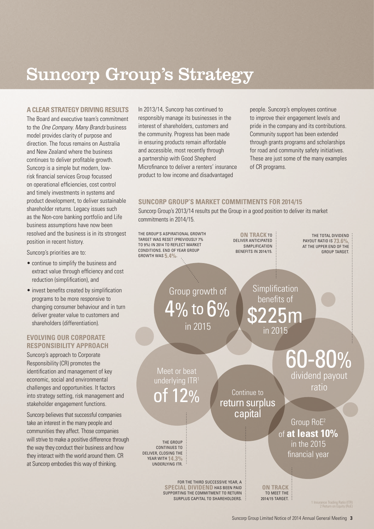## Suncorp Group's Strategy

#### **A CLEAR STRATEGY DRIVING RESULTS**

The Board and executive team's commitment to the *One Company. Many Brands* business model provides clarity of purpose and direction. The focus remains on Australia and New Zealand where the business continues to deliver profitable growth. Suncorp is a simple but modern, lowrisk financial services Group focussed on operational efficiencies, cost control and timely investments in systems and product development, to deliver sustainable shareholder returns. Legacy issues such as the Non-core banking portfolio and Life business assumptions have now been resolved and the business is in its strongest position in recent history.

Suncorp's priorities are to:

- continue to simplify the business and extract value through efficiency and cost reduction (simplification), and
- invest benefits created by simplification programs to be more responsive to changing consumer behaviour and in turn deliver greater value to customers and shareholders (differentiation).

#### **EVOLVING OUR CORPORATE RESPONSIBILITY APPROACH**

Suncorp's approach to Corporate Responsibility (CR) promotes the identification and management of key economic, social and environmental challenges and opportunities. It factors into strategy setting, risk management and stakeholder engagement functions.

Suncorp believes that successful companies take an interest in the many people and communities they affect. Those companies will strive to make a positive difference through the way they conduct their business and how they interact with the world around them. CR at Suncorp embodies this way of thinking.

In 2013/14, Suncorp has continued to responsibly manage its businesses in the interest of shareholders, customers and the community. Progress has been made in ensuring products remain affordable and accessible, most recently through a partnership with Good Shepherd Microfinance to deliver a renters' insurance product to low income and disadvantaged

people. Suncorp's employees continue to improve their engagement levels and pride in the company and its contributions. Community support has been extended through grants programs and scholarships for road and community safety initiatives. These are just some of the many examples of CR programs.

#### **SUNCORP GROUP'S MARKET COMMITMENTS FOR 2014/15**

Suncorp Group's 2013/14 results put the Group in a good position to deliver its market commitments in 2014/15.

THE GROUP'S ASPIRATIONAL GROWTH TARGET WAS RESET (PREVIOUSLY 7% TO 9%) IN 2014 TO REFLECT MARKET CONDITIONS. END OF YEAR GROUP GROWTH WAS **5.4%**.

**ON TRACK TO** DELIVER ANTICIPATED SIMPLIFICATION BENEFITS IN 2014/15.

> Simplification benefits of

> > in 2015

\$225m

THE TOTAL DIVIDEND : PAYOUT RATIO IS **73.6%**, AT THE UPPER END OF THE GROUP TARGET.

Group growth of  $4\%$  to  $6\%$ in 2015

FOR THE THIRD SUCCESSIVE YEAR, A **SPECIAL DIVIDEND** HAS BEEN PAID SUPPORTING THE COMMITMENT TO RETURN SURPLUS CAPITAL TO SHAREHOLDERS.

Meet or beat underlying ITR<sup>1</sup> of 12%

THE GROUP CONTINUES TO DELIVER, CLOSING THE YEAR WITH **14.3%** UNDERLYING ITR.

Continue to return surplus

**capital**  $G$  Group RoE<sup>2</sup> of **at least 10%** in the 2015 financial year

60-80%

dividend payout ratio

**ON TRACK**  TO MEET THE 2014/15 TARGET.

1 Insurance Trading Ratio (ITR) 2 Return on Equity (RoE)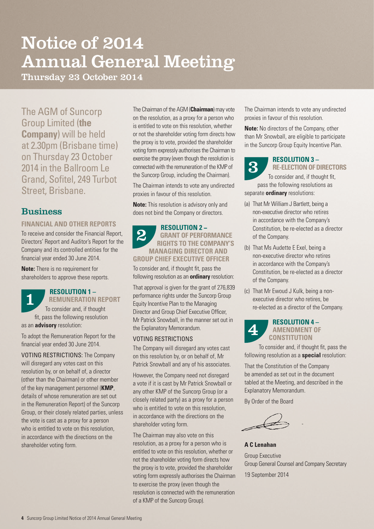## Notice of 2014 Annual General Meeting

Thursday 23 October 2014

The AGM of Suncorp Group Limited (**the Company**) will be held at 2.30pm (Brisbane time) on Thursday 23 October 2014 in the Ballroom Le Grand, Sofitel, 249 Turbot Street, Brisbane.

#### **Business**

#### **FINANCIAL AND OTHER REPORTS**

To receive and consider the Financial Report, Directors' Report and Auditor's Report for the Company and its controlled entities for the financial year ended 30 June 2014.

**Note:** There is no requirement for shareholders to approve these reports.

#### **RESOLUTION 1 – REMUNERATION REPORT**

To consider and, if thought fit, pass the following resolution as an **advisory** resolution: 1

To adopt the Remuneration Report for the financial year ended 30 June 2014.

VOTING RESTRICTIONS: The Company will disregard any votes cast on this resolution by, or on behalf of, a director (other than the Chairman) or other member of the key management personnel (**KMP**, details of whose remuneration are set out in the Remuneration Report) of the Suncorp Group, or their closely related parties, unless the vote is cast as a proxy for a person who is entitled to vote on this resolution. in accordance with the directions on the shareholder voting form.

The Chairman of the AGM (**Chairman**) may vote on the resolution, as a proxy for a person who is entitled to vote on this resolution, whether or not the shareholder voting form directs how the proxy is to vote, provided the shareholder voting form expressly authorises the Chairman to exercise the proxy (even though the resolution is connected with the remuneration of the KMP of the Suncorp Group, including the Chairman).

The Chairman intends to vote any undirected proxies in favour of this resolution.

**Note:** This resolution is advisory only and does not bind the Company or directors.

#### **RESOLUTION 2 − GRANT OF PERFORMANCE RIGHTS TO THE COMPANY'S MANAGING DIRECTOR AND GROUP CHIEF EXECUTIVE OFFICER** 2

To consider and, if thought fit, pass the following resolution as an **ordinary** resolution:

That approval is given for the grant of 276,839 performance rights under the Suncorp Group Equity Incentive Plan to the Managing Director and Group Chief Executive Officer, Mr Patrick Snowball, in the manner set out in the Explanatory Memorandum.

#### VOTING RESTRICTIONS

The Company will disregard any votes cast on this resolution by, or on behalf of, Mr Patrick Snowball and any of his associates.

However, the Company need not disregard a vote if it is cast by Mr Patrick Snowball or any other KMP of the Suncorp Group (or a closely related party) as a proxy for a person who is entitled to vote on this resolution. in accordance with the directions on the shareholder voting form.

The Chairman may also vote on this resolution, as a proxy for a person who is entitled to vote on this resolution, whether or not the shareholder voting form directs how the proxy is to vote, provided the shareholder voting form expressly authorises the Chairman to exercise the proxy (even though the resolution is connected with the remuneration of a KMP of the Suncorp Group).

The Chairman intends to vote any undirected proxies in favour of this resolution.

**Note:** No directors of the Company, other than Mr Snowball, are eligible to participate in the Suncorp Group Equity Incentive Plan.



#### **RESOLUTION 3 – RE-ELECTION OF DIRECTORS**

To consider and, if thought fit, pass the following resolutions as separate **ordinary** resolutions:

- (a) That Mr William J Bartlett, being a non-executive director who retires in accordance with the Company's Constitution, be re-elected as a director of the Company.
- (b) That Ms Audette E Exel, being a non-executive director who retires in accordance with the Company's Constitution, be re-elected as a director of the Company.
- (c) That Mr Ewoud J Kulk, being a nonexecutive director who retires, be re-elected as a director of the Company.

#### **RESOLUTION 4 – AMENDMENT OF CONSTITUTION** 4

To consider and, if thought fit, pass the following resolution as a **special** resolution:

That the Constitution of the Company be amended as set out in the document tabled at the Meeting, and described in the Explanatory Memorandum.

By Order of the Board

**A C Lenahan**

Group Executive Group General Counsel and Company Secretary 19 September 2014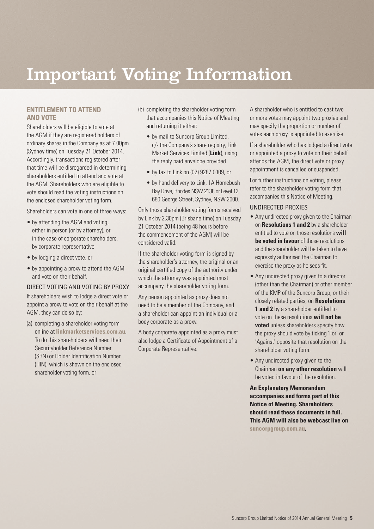## Important Voting Information

#### **ENTITLEMENT TO ATTEND AND VOTE**

Shareholders will be eligible to vote at the AGM if they are registered holders of ordinary shares in the Company as at 7.00pm (Sydney time) on Tuesday 21 October 2014. Accordingly, transactions registered after that time will be disregarded in determining shareholders entitled to attend and vote at the AGM. Shareholders who are eligible to vote should read the voting instructions on the enclosed shareholder voting form.

Shareholders can vote in one of three ways:

- by attending the AGM and voting, either in person (or by attorney), or in the case of corporate shareholders, by corporate representative
- by lodging a direct vote, or
- by appointing a proxy to attend the AGM and vote on their behalf.

#### DIRECT VOTING AND VOTING BY PROXY

If shareholders wish to lodge a direct vote or appoint a proxy to vote on their behalf at the AGM, they can do so by:

(a) completing a shareholder voting form online at **linkmarketservices.com.au**. To do this shareholders will need their Securityholder Reference Number (SRN) or Holder Identification Number (HIN), which is shown on the enclosed shareholder voting form, or

- (b) completing the shareholder voting form that accompanies this Notice of Meeting and returning it either:
	- by mail to Suncorp Group Limited, c/- the Company's share registry, Link Market Services Limited (**Link**), using the reply paid envelope provided
	- by fax to Link on (02) 9287 0309, or
	- by hand delivery to Link, 1A Homebush Bay Drive, Rhodes NSW 2138 or Level 12, 680 George Street, Sydney, NSW 2000.

Only those shareholder voting forms received by Link by 2.30pm (Brisbane time) on Tuesday 21 October 2014 (being 48 hours before the commencement of the AGM) will be considered valid.

If the shareholder voting form is signed by the shareholder's attorney, the original or an original certified copy of the authority under which the attorney was appointed must accompany the shareholder voting form.

Any person appointed as proxy does not need to be a member of the Company, and a shareholder can appoint an individual or a body corporate as a proxy.

A body corporate appointed as a proxy must also lodge a Certificate of Appointment of a Corporate Representative.

A shareholder who is entitled to cast two or more votes may appoint two proxies and may specify the proportion or number of votes each proxy is appointed to exercise.

If a shareholder who has lodged a direct vote or appointed a proxy to vote on their behalf attends the AGM, the direct vote or proxy appointment is cancelled or suspended.

For further instructions on voting, please refer to the shareholder voting form that accompanies this Notice of Meeting.

#### UNDIRECTED PROXIES

- Any undirected proxy given to the Chairman on **Resolutions 1 and 2** by a shareholder entitled to vote on those resolutions **will be voted in favour** of those resolutions and the shareholder will be taken to have expressly authorised the Chairman to exercise the proxy as he sees fit.
- Any undirected proxy given to a director (other than the Chairman) or other member of the KMP of the Suncorp Group, or their closely related parties, on **Resolutions**  1 and 2 by a shareholder entitled to vote on these resolutions **will not be voted** unless shareholders specify how the proxy should vote by ticking 'For' or 'Against' opposite that resolution on the shareholder voting form.
- Any undirected proxy given to the Chairman **on any other resolution** will be voted in favour of the resolution.

**An Explanatory Memorandum accompanies and forms part of this Notice of Meeting. Shareholders should read these documents in full. This AGM will also be webcast live on suncorpgroup.com.au.**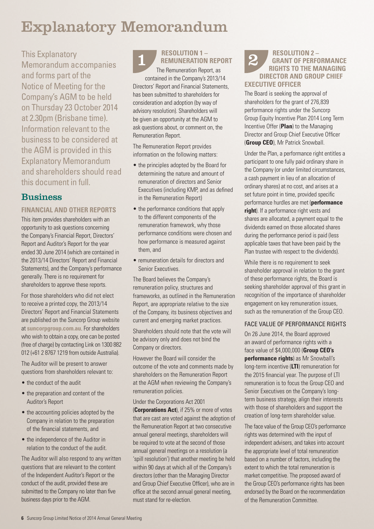## Explanatory Memorandum

This Explanatory Memorandum accompanies and forms part of the Notice of Meeting for the Company's AGM to be held on Thursday 23 October 2014 at 2.30pm (Brisbane time). Information relevant to the business to be considered at the AGM is provided in this Explanatory Memorandum and shareholders should read this document in full.

#### **Business**

#### **FINANCIAL AND OTHER REPORTS**

This item provides shareholders with an opportunity to ask questions concerning the Company's Financial Report, Directors' Report and Auditor's Report for the year ended 30 June 2014 (which are contained in the 2013/14 Directors' Report and Financial Statements), and the Company's performance generally. There is no requirement for shareholders to approve these reports.

For those shareholders who did not elect to receive a printed copy, the 2013/14 Directors' Report and Financial Statements are published on the Suncorp Group website at **suncorpgroup.com.au**. For shareholders who wish to obtain a copy, one can be posted (free of charge) by contacting Link on 1300 882 012 (+61 2 8767 1219 from outside Australia).

The Auditor will be present to answer questions from shareholders relevant to:

- the conduct of the audit
- the preparation and content of the Auditor's Report
- the accounting policies adopted by the Company in relation to the preparation of the financial statements, and
- the independence of the Auditor in relation to the conduct of the audit.

The Auditor will also respond to any written questions that are relevant to the content of the Independent Auditor's Report or the conduct of the audit, provided these are submitted to the Company no later than five business days prior to the AGM.

**RESOLUTION 1 – RESOLUTION 1 – REMUNERATION REPORT 2** 

The Remuneration Report, as contained in the Company's 2013/14 Directors' Report and Financial Statements, has been submitted to shareholders for consideration and adoption (by way of advisory resolution). Shareholders will be given an opportunity at the AGM to ask questions about, or comment on, the Remuneration Report.

The Remuneration Report provides information on the following matters:

- the principles adopted by the Board for determining the nature and amount of remuneration of directors and Senior Executives (including KMP, and as defined in the Remuneration Report)
- the performance conditions that apply to the different components of the remuneration framework, why those performance conditions were chosen and how performance is measured against them, and
- remuneration details for directors and Senior Executives

The Board believes the Company's remuneration policy, structures and frameworks, as outlined in the Remuneration Report, are appropriate relative to the size of the Company, its business objectives and current and emerging market practices.

Shareholders should note that the vote will be advisory only and does not bind the Company or directors.

However the Board will consider the outcome of the vote and comments made by shareholders on the Remuneration Report at the AGM when reviewing the Company's remuneration policies.

Under the Corporations Act 2001 (**Corporations Act**), if 25% or more of votes that are cast are voted against the adoption of the Remuneration Report at two consecutive annual general meetings, shareholders will be required to vote at the second of those annual general meetings on a resolution (a 'spill resolution') that another meeting be held within 90 days at which all of the Company's directors (other than the Managing Director and Group Chief Executive Officer), who are in office at the second annual general meeting, must stand for re-election.

#### **RESOLUTION 2 – GRANT OF PERFORMANCE RIGHTS TO THE MANAGING DIRECTOR AND GROUP CHIEF EXECUTIVE OFFICER**

The Board is seeking the approval of shareholders for the grant of 276,839 performance rights under the Suncorp Group Equity Incentive Plan 2014 Long Term Incentive Offer (**Plan**) to the Managing Director and Group Chief Executive Officer (**Group CEO**), Mr Patrick Snowball.

Under the Plan, a performance right entitles a participant to one fully paid ordinary share in the Company (or under limited circumstances, a cash payment in lieu of an allocation of ordinary shares) at no cost, and arises at a set future point in time, provided specific performance hurdles are met (**performance right**). If a performance right vests and shares are allocated, a payment equal to the dividends earned on those allocated shares during the performance period is paid (less applicable taxes that have been paid by the Plan trustee with respect to the dividends).

While there is no requirement to seek shareholder approval in relation to the grant of these performance rights, the Board is seeking shareholder approval of this grant in recognition of the importance of shareholder engagement on key remuneration issues, such as the remuneration of the Group CEO.

#### FACE VALUE OF PERFORMANCE RIGHTS

On 26 June 2014, the Board approved an award of performance rights with a face value of \$4,000,000 (**Group CEO's performance rights**) as Mr Snowball's long-term incentive (**LTI**) remuneration for the 2015 financial year. The purpose of LTI remuneration is to focus the Group CEO and Senior Executives on the Company's longterm business strategy, align their interests with those of shareholders and support the creation of long-term shareholder value.

The face value of the Group CEO's performance rights was determined with the input of independent advisers, and takes into account the appropriate level of total remuneration based on a number of factors, including the extent to which the total remuneration is market competitive. The proposed award of the Group CEO's performance rights has been endorsed by the Board on the recommendation of the Remuneration Committee.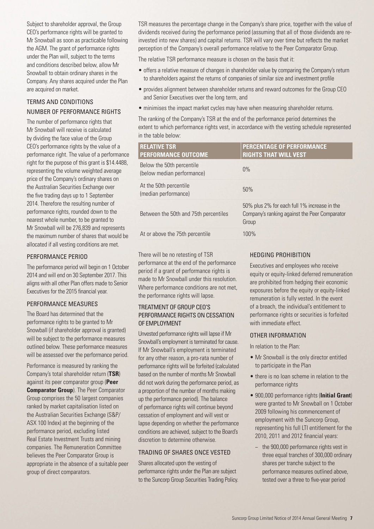Subject to shareholder approval, the Group CEO's performance rights will be granted to Mr Snowball as soon as practicable following the AGM. The grant of performance rights under the Plan will, subject to the terms and conditions described below, allow Mr Snowball to obtain ordinary shares in the Company. Any shares acquired under the Plan are acquired on market.

#### TERMS AND CONDITIONS NUMBER OF PERFORMANCE RIGHTS

The number of performance rights that Mr Snowball will receive is calculated by dividing the face value of the Group CEO's performance rights by the value of a performance right. The value of a performance right for the purpose of this grant is \$14.4488, representing the volume weighted average price of the Company's ordinary shares on the Australian Securities Exchange over the five trading days up to 1 September 2014. Therefore the resulting number of performance rights, rounded down to the nearest whole number, to be granted to Mr Snowball will be 276,839 and represents the maximum number of shares that would be allocated if all vesting conditions are met.

#### PERFORMANCE PERIOD

The performance period will begin on 1 October 2014 and will end on 30 September 2017. This aligns with all other Plan offers made to Senior Executives for the 2015 financial year.

#### PERFORMANCE MEASURES

The Board has determined that the performance rights to be granted to Mr Snowball (if shareholder approval is granted) will be subject to the performance measures outlined below. These performance measures will be assessed over the performance period.

Performance is measured by ranking the Company's total shareholder return (**TSR**) against its peer comparator group (**Peer Comparator Group**). The Peer Comparator Group comprises the 50 largest companies ranked by market capitalisation listed on the Australian Securities Exchange (S&P/ ASX 100 Index) at the beginning of the performance period, excluding listed Real Estate Investment Trusts and mining companies. The Remuneration Committee believes the Peer Comparator Group is appropriate in the absence of a suitable peer group of direct comparators.

TSR measures the percentage change in the Company's share price, together with the value of dividends received during the performance period (assuming that all of those dividends are reinvested into new shares) and capital returns. TSR will vary over time but reflects the market perception of the Company's overall performance relative to the Peer Comparator Group.

The relative TSR performance measure is chosen on the basis that it:

- offers a relative measure of changes in shareholder value by comparing the Company's return to shareholders against the returns of companies of similar size and investment profile
- provides alignment between shareholder returns and reward outcomes for the Group CEO and Senior Executives over the long term, and
- minimises the impact market cycles may have when measuring shareholder returns.

The ranking of the Company's TSR at the end of the performance period determines the extent to which performance rights vest, in accordance with the vesting schedule represented in the table below:

| <b>RELATIVE TSR</b><br><b>PERFORMANCE OUTCOME</b>       | <b>PERCENTAGE OF PERFORMANCE</b><br><b>RIGHTS THAT WILL VEST</b>                                       |
|---------------------------------------------------------|--------------------------------------------------------------------------------------------------------|
| Below the 50th percentile<br>(below median performance) | $0\%$                                                                                                  |
| At the 50th percentile<br>(median performance)          | 50%                                                                                                    |
| Between the 50th and 75th percentiles                   | 50% plus 2% for each full 1% increase in the<br>Company's ranking against the Peer Comparator<br>Group |
| At or above the 75th percentile                         | $100\%$                                                                                                |

There will be no retesting of TSR performance at the end of the performance period if a grant of performance rights is made to Mr Snowball under this resolution. Where performance conditions are not met. the performance rights will lapse.

#### TREATMENT OF GROUP CEO'S PERFORMANCE RIGHTS ON CESSATION OF EMPLOYMENT

Unvested performance rights will lapse if Mr Snowball's employment is terminated for cause. If Mr Snowball's employment is terminated for any other reason, a pro-rata number of performance rights will be forfeited (calculated based on the number of months Mr Snowball did not work during the performance period, as a proportion of the number of months making up the performance period). The balance of performance rights will continue beyond cessation of employment and will vest or lapse depending on whether the performance conditions are achieved, subject to the Board's discretion to determine otherwise.

#### TRADING OF SHARES ONCE VESTED

Shares allocated upon the vesting of performance rights under the Plan are subject to the Suncorp Group Securities Trading Policy.

#### HEDGING PROHIBITION

Executives and employees who receive equity or equity-linked deferred remuneration are prohibited from hedging their economic exposures before the equity or equity-linked remuneration is fully vested. In the event of a breach, the individual's entitlement to performance rights or securities is forfeited with immediate effect.

#### OTHER INFORMATION

In relation to the Plan:

- Mr Snowball is the only director entitled to participate in the Plan
- there is no loan scheme in relation to the performance rights
- 900,000 performance rights (**Initial Grant**) were granted to Mr Snowball on 1 October 2009 following his commencement of employment with the Suncorp Group, representing his full LTI entitlement for the 2010, 2011 and 2012 financial years:
	- the 900,000 performance rights vest in three equal tranches of 300,000 ordinary shares per tranche subject to the performance measures outlined above, tested over a three to five-year period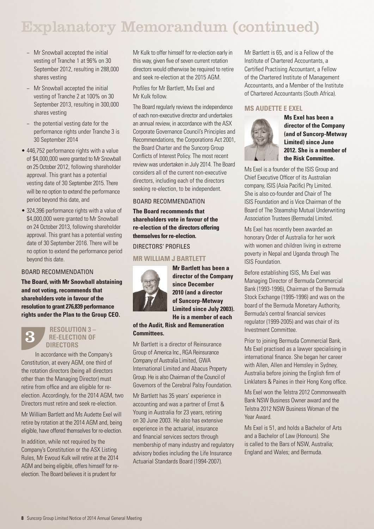## Explanatory Memorandum (continued)

- − Mr Snowball accepted the initial vesting of Tranche 1 at 96% on 30 September 2012, resulting in 288,000 shares vesting
- − Mr Snowball accepted the initial vesting of Tranche 2 at 100% on 30 September 2013, resulting in 300,000 shares vesting
- − the potential vesting date for the performance rights under Tranche 3 is 30 September 2014
- 446,752 performance rights with a value of \$4,000,000 were granted to Mr Snowball on 25 October 2012, following shareholder approval. This grant has a potential vesting date of 30 September 2015. There will be no option to extend the performance period beyond this date, and
- 324,396 performance rights with a value of \$4,000,000 were granted to Mr Snowball on 24 October 2013, following shareholder approval. This grant has a potential vesting date of 30 September 2016. There will be no option to extend the performance period beyond this date.

#### BOARD RECOMMENDATION

**The Board, with Mr Snowball abstaining and not voting, recommends that shareholders vote in favour of the resolution to grant 276,839 performance rights under the Plan to the Group CEO.**

#### **RESOLUTION 3 – RE-ELECTION OF DIRECTORS**

3

In accordance with the Company's Constitution, at every AGM, one third of the rotation directors (being all directors other than the Managing Director) must retire from office and are eligible for reelection. Accordingly, for the 2014 AGM, two Directors must retire and seek re-election.

Mr William Bartlett and Ms Audette Exel will retire by rotation at the 2014 AGM and, being eligible, have offered themselves for re-election.

In addition, while not required by the Company's Constitution or the ASX Listing Rules, Mr Ewoud Kulk will retire at the 2014 AGM and being eligible, offers himself for reelection. The Board believes it is prudent for

Mr Kulk to offer himself for re-election early in this way, given five of seven current rotation directors would otherwise be required to retire and seek re-election at the 2015 AGM.

Profiles for Mr Bartlett, Ms Exel and Mr Kulk follow.

The Board regularly reviews the independence of each non-executive director and undertakes an annual review, in accordance with the ASX Corporate Governance Council's Principles and Recommendations, the Corporations Act 2001, the Board Charter and the Suncorp Group Conflicts of Interest Policy. The most recent review was undertaken in July 2014. The Board considers all of the current non-executive directors, including each of the directors seeking re-election, to be independent.

#### BOARD RECOMMENDATION

**The Board recommends that shareholders vote in favour of the re-election of the directors offering themselves for re-election.**

#### DIRECTORS' PROFILES

#### **MR WILLIAM J BARTLETT**



**Mr Bartlett has been a director of the Company since December 2010 (and a director of Suncorp-Metway Limited since July 2003). He is a member of each** 

**of the Audit, Risk and Remuneration Committees.**

Mr Bartlett is a director of Reinsurance Group of America Inc., RGA Reinsurance Company of Australia Limited, GWA International Limited and Abacus Property Group. He is also Chairman of the Council of Governors of the Cerebral Palsy Foundation.

Mr Bartlett has 35 years' experience in accounting and was a partner of Ernst & Young in Australia for 23 years, retiring on 30 June 2003. He also has extensive experience in the actuarial, insurance and financial services sectors through membership of many industry and regulatory advisory bodies including the Life Insurance Actuarial Standards Board (1994-2007).

Mr Bartlett is 65, and is a Fellow of the Institute of Chartered Accountants, a Certified Practising Accountant, a Fellow of the Chartered Institute of Management Accountants, and a Member of the Institute of Chartered Accountants (South Africa).

#### **MS AUDETTE E EXEL**



**Ms Exel has been a director of the Company (and of Suncorp-Metway Limited) since June 2012. She is a member of the Risk Committee.**

Ms Exel is a founder of the ISIS Group and Chief Executive Officer of its Australian company, ISIS (Asia Pacific) Pty Limited. She is also co-founder and Chair of The ISIS Foundation and is Vice Chairman of the Board of The Steamship Mutual Underwriting Association Trustees (Bermuda) Limited.

Ms Exel has recently been awarded an honorary Order of Australia for her work with women and children living in extreme poverty in Nepal and Uganda through The ISIS Foundation.

Before establishing ISIS, Ms Exel was Managing Director of Bermuda Commercial Bank (1993-1996), Chairman of the Bermuda Stock Exchange (1995-1996) and was on the board of the Bermuda Monetary Authority, Bermuda's central financial services regulator (1999-2005) and was chair of its Investment Committee.

Prior to joining Bermuda Commercial Bank, Ms Exel practised as a lawyer specialising in international finance. She began her career with Allen, Allen and Hemsley in Sydney, Australia before joining the English firm of Linklaters & Paines in their Hong Kong office.

Ms Exel won the Telstra 2012 Commonwealth Bank NSW Business Owner award and the Telstra 2012 NSW Business Woman of the Year Award.

Ms Exel is 51, and holds a Bachelor of Arts and a Bachelor of Law (Honours). She is called to the Bars of NSW, Australia; England and Wales; and Bermuda.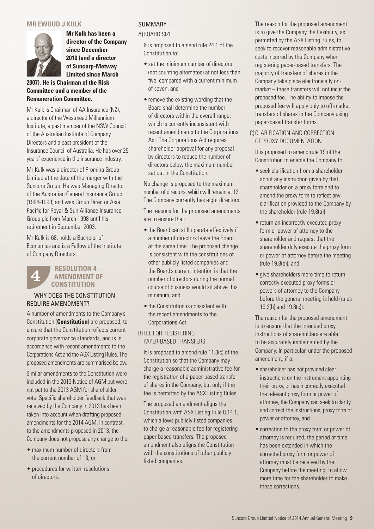#### **MR EWOUD J KULK**



**Mr Kulk has been a director of the Company since December 2010 (and a director of Suncorp-Metway Limited since March** 

**2007). He is Chairman of the Risk Committee and a member of the Remuneration Committee.**

Mr Kulk is Chairman of AA Insurance (NZ), a director of the Westmead Millennium Institute, a past member of the NSW Council of the Australian Institute of Company Directors and a past president of the Insurance Council of Australia. He has over 25 years' experience in the insurance industry.

Mr Kulk was a director of Promina Group Limited at the date of the merger with the Suncorp Group. He was Managing Director of the Australian General Insurance Group (1994-1998) and was Group Director Asia Pacific for Royal & Sun Alliance Insurance Group plc from March 1998 until his retirement in September 2003.

Mr Kulk is 68, holds a Bachelor of Economics and is a Fellow of the Institute of Company Directors.

#### **RESOLUTION 4 – AMENDMENT OF CONSTITUTION** 4

#### WHY DOES THE CONSTITUTION REQUIRE AMENDMENT?

A number of amendments to the Company's Constitution (**Constitution**) are proposed, to ensure that the Constitution reflects current corporate governance standards, and is in accordance with recent amendments to the Corporations Act and the ASX Listing Rules. The proposed amendments are summarised below.

Similar amendments to the Constitution were included in the 2013 Notice of AGM but were not put to the 2013 AGM for shareholder vote. Specific shareholder feedback that was received by the Company in 2013 has been taken into account when drafting proposed amendments for the 2014 AGM. In contrast to the amendments proposed in 2013, the Company does not propose any change to the:

- maximum number of directors from the current number of 13, or
- procedures for written resolutions of directors.

#### SUMMARY

#### A)BOARD SIZE

It is proposed to amend rule 24.1 of the Constitution to:

- set the minimum number of directors (not counting alternates) at not less than five, compared with a current minimum of seven, and
- remove the existing wording that the Board shall determine the number of directors within the overall range, which is currently inconsistent with recent amendments to the Corporations Act. The Corporations Act requires shareholder approval for any proposal by directors to reduce the number of directors below the maximum number set out in the Constitution.

No change is proposed to the maximum number of directors, which will remain at 13. The Company currently has eight directors.

The reasons for the proposed amendments are to ensure that:

- the Board can still operate effectively if a number of directors leave the Board at the same time. The proposed change is consistent with the constitutions of other publicly listed companies and the Board's current intention is that the number of directors during the normal course of business would sit above this minimum, and
- the Constitution is consistent with the recent amendments to the Corporations Act.

#### B) FEE FOR REGISTERING PAPER-BASED TRANSFERS

It is proposed to amend rule 11.3(c) of the Constitution so that the Company may charge a reasonable administrative fee for the registration of a paper-based transfer of shares in the Company, but only if the fee is permitted by the ASX Listing Rules.

The proposed amendment aligns the Constitution with ASX Listing Rule 8.14.1, which allows publicly listed companies to charge a reasonable fee for registering paper-based transfers. The proposed amendment also aligns the Constitution with the constitutions of other publicly listed companies.

The reason for the proposed amendment is to give the Company the flexibility, as permitted by the ASX Listing Rules, to seek to recover reasonable administrative costs incurred by the Company when registering paper-based transfers. The majority of transfers of shares in the Company take place electronically onmarket – these transfers will not incur the proposed fee. The ability to impose the proposed fee will apply only to off-market transfers of shares in the Company using paper-based transfer forms.

#### C) CLARIFICATION AND CORRECTION OF PROXY DOCUMENTATION

It is proposed to amend rule 19 of the Constitution to enable the Company to:

- seek clarification from a shareholder about any instruction given by that shareholder on a proxy form and to amend the proxy form to reflect any clarification provided to the Company by the shareholder (rule 19.8(a))
- return an incorrectly executed proxy form or power of attorney to the shareholder and request that the shareholder duly execute the proxy form or power of attorney before the meeting (rule 19.8(b)), and
- give shareholders more time to return correctly executed proxy forms or powers of attorney to the Company before the general meeting is held (rules 19.3(b) and 19.8(c)).

The reason for the proposed amendment is to ensure that the intended proxy instructions of shareholders are able to be accurately implemented by the Company. In particular, under the proposed amendment, if a:

- shareholder has not provided clear instructions on the instrument appointing their proxy, or has incorrectly executed the relevant proxy form or power of attorney, the Company can seek to clarify and correct the instructions, proxy form or power or attorney, and
- correction to the proxy form or power of attorney is required, the period of time has been extended in which the corrected proxy form or power of attorney must be received by the Company before the meeting, to allow more time for the shareholder to make these corrections.